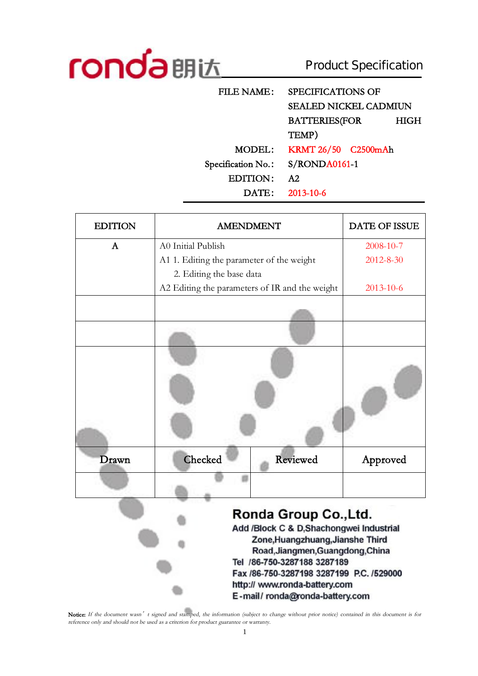

## Product Specification

| <b>FILE NAME:</b>  | <b>SPECIFICATIONS OF</b>     |  |  |
|--------------------|------------------------------|--|--|
|                    | <b>SEALED NICKEL CADMIUN</b> |  |  |
|                    | <b>BATTERIES(FOR</b><br>HIGH |  |  |
|                    | TEMP)                        |  |  |
| MODEL:             | KRMT 26/50 C2500mAh          |  |  |
| Specification No.: | $S/RONDA0161-1$              |  |  |
| EDITION:           | A2                           |  |  |
| $\text{DATE}:$     | 2013-10-6                    |  |  |
|                    |                              |  |  |

| <b>EDITION</b> | <b>AMENDMENT</b>                               |                                                                                                                                                                                                                                                      | DATE OF ISSUE   |
|----------------|------------------------------------------------|------------------------------------------------------------------------------------------------------------------------------------------------------------------------------------------------------------------------------------------------------|-----------------|
| $\mathbf{A}$   | A0 Initial Publish                             | 2008-10-7                                                                                                                                                                                                                                            |                 |
|                | A1 1. Editing the parameter of the weight      |                                                                                                                                                                                                                                                      | $2012 - 8 - 30$ |
|                | 2. Editing the base data                       |                                                                                                                                                                                                                                                      |                 |
|                | A2 Editing the parameters of IR and the weight |                                                                                                                                                                                                                                                      | $2013 - 10 - 6$ |
|                |                                                |                                                                                                                                                                                                                                                      |                 |
|                |                                                |                                                                                                                                                                                                                                                      |                 |
|                |                                                |                                                                                                                                                                                                                                                      |                 |
| Drawn          | Checked                                        | Reviewed                                                                                                                                                                                                                                             | Approved        |
|                |                                                |                                                                                                                                                                                                                                                      |                 |
|                |                                                | Ronda Group Co., Ltd.<br>Add /Block C & D,Shachongwei Industrial<br>Zone, Huangzhuang, Jianshe Third<br>Road, Jiangmen, Guangdong, China<br>Tel /86-750-3287188 3287189<br>Fax /86-750-3287198 3287199 P.C. /529000<br>http:// www.ronda-battery.com |                 |

Notice: If the document wasn't signed and stamped, the information (subject to change without prior notice) contained in this document is for *reference only and should not be used as <sup>a</sup> criterion for product guarantee or warranty.*

E-mail/ronda@ronda-battery.com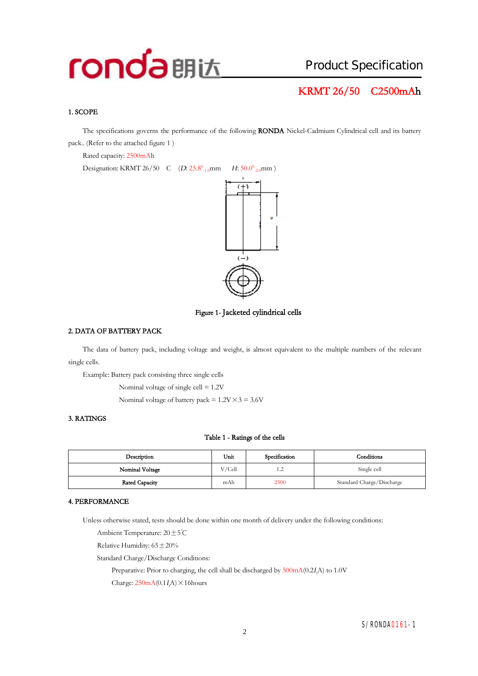## Product Specification

**KRMT 26/50 C2500mAh** 

#### **1. SCOPE**

The specifications governs the performance of the following **RONDA** Nickel-Cadmium Cylindrical cell and its battery pack.. (Refer to the attached figure 1 )

Rated capacity: 2500mAh

Designation: KRMT 26/50 C (*D*: 25.8<sup>0</sup><sub>-1.0</sub>mm  $_{-1.0}$ mm *H*: 50.0<sup>0</sup><sub>-2.0</sub>mm )



**Figure 1- Jacketed cylindrical cells** 

#### **2. DATA OF BATTERY PACK**

The data of battery pack, including voltage and weight, is almost equivalent to the multiple numbers of the relevant single cells.

Example: Battery pack consisting three single cells

Nominal voltage of single cell = 1.2V

Nominal voltage of battery pack =  $1.2V \times 3 = 3.6V$ 

#### **3. RATINGS**

#### **Table 1 - Ratings of the cells**

| Description     | Unit   | Specification | Conditions                |
|-----------------|--------|---------------|---------------------------|
| Nominal Voltage | V/Cell | 1.2           | Single cell               |
| Rated Capacity  | mAh    | 2500          | Standard Charge/Discharge |

#### **4. PERFORMANCE**

Unless otherwise stated, tests should be done within one month of delivery under the following conditions:

Ambient Temperature: 20±5℃

Relative Humidity:  $65 \pm 20\%$ 

Standard Charge/Discharge Conditions:

Preparative: Prior to charging, the cell shall be discharged by 500mA(0.2*<sup>I</sup>t*A) to 1.0V Charge:  $250mA(0.1I/A) \times 16$ hours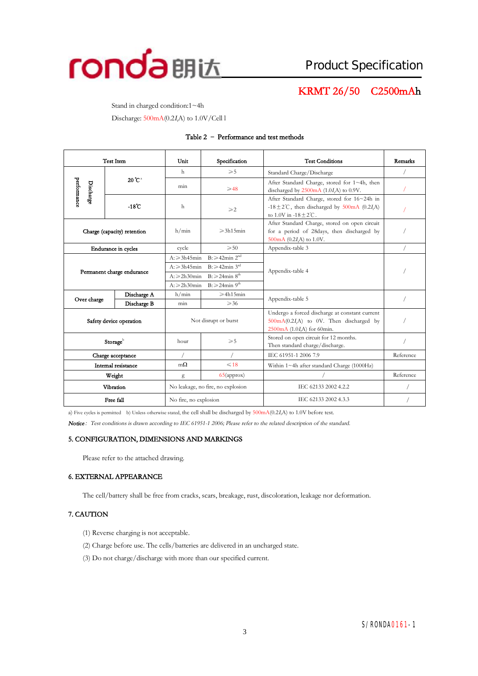

**KRMT 26/50 C2500mAh** 

Stand in charged condition:1~4h

Discharge: 500mA(0.2*<sup>I</sup>t*A) to 1.0V/Cell l

#### **Table 2 – Performance and test methods**

| <b>Test Item</b>                |                            | Unit<br>Specification                                      |                                                             | <b>Test Conditions</b>                                                                                                             | Remarks   |
|---------------------------------|----------------------------|------------------------------------------------------------|-------------------------------------------------------------|------------------------------------------------------------------------------------------------------------------------------------|-----------|
|                                 |                            | h                                                          | $\geqslant 5$                                               | Standard Charge/Discharge                                                                                                          |           |
| performance<br><b>Discharge</b> | 20 C <sup>a</sup>          | min                                                        | $\geqslant$ 48                                              | After Standard Charge, stored for 1~4h, then<br>discharged by $2500 \text{mA}$ (1.0 <i>I<sub>A</sub></i> ) to 0.9V.                |           |
|                                 | $-18^{\circ}$ C            | h                                                          | $\geqslant$ 2.                                              | After Standard Charge, stored for 16~24h in<br>-18 ± 2°C, then discharged by 500mA (0.2I,A)<br>to 1.0V in $-18 \pm 2^{\circ}$ C.   |           |
| Charge (capacity) retention     |                            | h/min                                                      | $\geqslant$ 3h15min                                         | After Standard Charge, stored on open circuit<br>for a period of 28days, then discharged by<br>$500mA$ (0.2I,A) to 1.0V.           |           |
|                                 | <b>Endurance</b> in cycles | cycle                                                      | $\geqslant 50$                                              | Appendix-table 3                                                                                                                   |           |
|                                 |                            | $B \geq 42$ min $2^{nd}$<br>$A: \geq 3h45$ min             |                                                             |                                                                                                                                    |           |
|                                 | Permanent charge endurance |                                                            | $B: \geq 42$ min 3 <sup>rd</sup><br>$A: \geqslant 3h45$ min | Appendix-table 4                                                                                                                   |           |
|                                 |                            |                                                            | $B: \geqslant 24$ min $8th$<br>$A: \ge 2h30$ min            |                                                                                                                                    |           |
|                                 |                            | $B: \geqslant 24$ min 9 <sup>th</sup><br>$A: \ge 2h30$ min |                                                             |                                                                                                                                    |           |
| Discharge A<br>Over charge      |                            | h/min                                                      | $\geqslant$ 4h15min                                         | Appendix-table 5                                                                                                                   |           |
|                                 | Discharge B                | min                                                        | $\geqslant$ 36                                              |                                                                                                                                    |           |
| Safety device operation         |                            | Not disrupt or burst                                       |                                                             | Undergo a forced discharge at constant current<br>$500 \text{mA}(0.2I, A)$ to 0V. Then discharged by<br>2500mA (1.0I,A) for 60min. |           |
| Storage <sup>b</sup>            |                            | hour<br>$\geqslant 5$                                      |                                                             | Stored on open circuit for 12 months.<br>Then standard charge/discharge.                                                           |           |
| Charge acceptance               |                            |                                                            |                                                             | IEC 61951-1 2006 7.9                                                                                                               | Reference |
| Internal resistance             |                            | $m\Omega$                                                  | $\leq 18$                                                   | Within 1~4h after standard Charge (1000Hz)                                                                                         |           |
|                                 | Weight                     |                                                            | 65(approx)                                                  |                                                                                                                                    | Reference |
|                                 | Vibration                  | No leakage, no fire, no explosion                          |                                                             | IEC 62133 2002 4.2.2                                                                                                               |           |
| Free fall                       |                            | No fire, no explosion                                      |                                                             | IEC 62133 2002 4.3.3                                                                                                               |           |

a) Five cycles is permitted b) Unless otherwise stated, the cell shall be discharged by 500mA(0.2*<sup>I</sup>t*A) to 1.0V before test.

*Notice:Test conditions is drawn according to IEC 61951-1 2006; Please refer to the related description of the standard.* 

#### **5. CONFIGURATION, DIMENSIONS AND MARKINGS**

Please refer to the attached drawing.

#### **6. EXTERNAL APPEARANCE**

The cell/battery shall be free from cracks, scars, breakage, rust, discoloration, leakage nor deformation.

#### **7. CAUTION**

- (1) Reverse charging is not acceptable.
- (2) Charge before use. The cells/batteries are delivered in an uncharged state.
- (3) Do not charge/discharge with more than our specified current.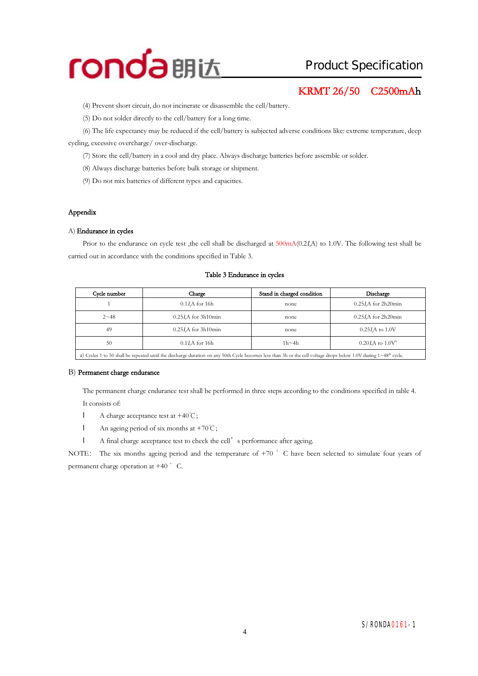

### Product Specification

### **KRMT 26/50 C2500mAh**

(4) Prevent short circuit, do not incinerate or disassemble the cell/battery.

(5) Do not solder directly to the cell/battery for a long time.

(6) The life expectancy may be reduced if the cell/battery is subjected adverse conditionslike: extreme temperature, deep cycling, excessive overcharge/ over-discharge.

(7) Store the cell/battery in a cool and dry place. Always discharge batteries before assemble or solder.

(8) Always discharge batteries before bulk storage or shipment.

(9) Do not mix batteries of different types and capacities.

#### **Appendix**

#### A) **Endurance in cycles**

Prior to the endurance on cycle test ,the cell shall be discharged at 500mA(0.2*<sup>I</sup>t*A) to 1.0V. The following test shall be carried out in accordance with the conditions specified in Table 3.

#### **Table 3 Endurance in cycles**

| Cycle number           | Charge                      | Stand in charged condition | Discharge                   |
|------------------------|-----------------------------|----------------------------|-----------------------------|
|                        | $0.1I$ A for 16h            | none                       | 0.25 <i>I.A</i> for 2h20min |
| $2 - 48$               | 0.25 <i>I.A</i> for 3h10min | none                       | 0.25 <i>I.A</i> for 2h20min |
| 49                     | 0.25 <i>I.A</i> for 3h10min | none                       | $0.25I/A$ to $1.0V$         |
| 50<br>$0.1IrA$ for 16h |                             | $1h - 4h$                  | $0.20 I.A$ to $1.0 V^2$     |
|                        |                             |                            |                             |

a) Cycles 1 to 50 shall be repeated until the discharge duration on any 50th Cycle becomes less than 3h or the cell voltage drops below 1.0V during 1~48<sup>th</sup> cycle.

#### B) **Permanent charge endurance**

The permanent charge endurance test shall be performed in three steps according to the conditions specified in table 4. It consists of:

- l A charge acceptance test at +40℃;
- l An ageing period of six months at +70℃;
- l A final charge acceptance test to check the cell's performance after ageing.

NOTE: The six months ageing period and the temperature of +70 °C have been selected to simulate four years of permanent charge operation at  $+40$   $\degree$  C.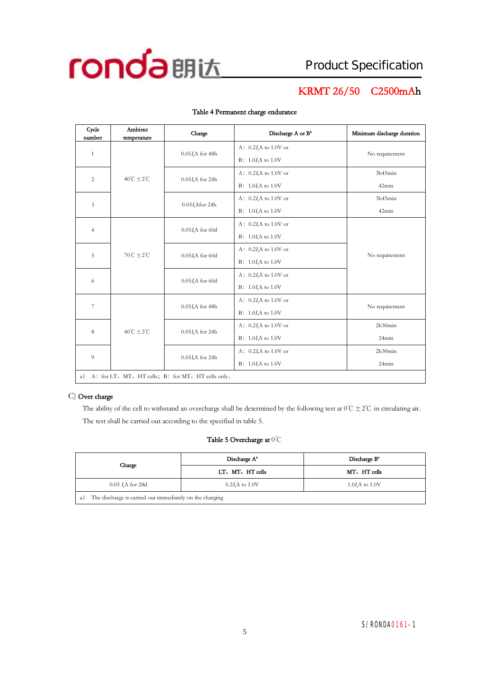

## **KRMT 26/50 C2500mAh**

| Cycle<br>number                                          | Ambient<br>temperature           | Charge                  | Discharge A or B <sup>a</sup> | Minimum discharge duration |  |
|----------------------------------------------------------|----------------------------------|-------------------------|-------------------------------|----------------------------|--|
|                                                          |                                  |                         | A: $0.2IrA$ to 1.0V or        |                            |  |
| $\mathbf{1}$                                             |                                  | $0.05I$ A for 48h       | $B: 1.0IrA$ to 1.0V           | No requirement             |  |
| 2                                                        | $40^{\circ}$ C $\pm 2^{\circ}$ C |                         | A: $0.2IrA$ to 1.0V or        | 3h45min                    |  |
|                                                          |                                  | $0.05I\text{A}$ for 24h | $B: 1.0IrA$ to 1.0V           | 42min                      |  |
| 3                                                        |                                  | $0.05I$ Afor 24h        | A: $0.2IrA$ to 1.0V or        | 3h45min                    |  |
|                                                          |                                  |                         | $B: 1.0IrA$ to 1.0V           | 42min                      |  |
| $\overline{4}$                                           |                                  | $0.05I$ A for 60d       | A: $0.2IrA$ to 1.0V or        |                            |  |
|                                                          |                                  |                         | $B: 1.0IrA$ to 1.0V           |                            |  |
| 5                                                        | $70^{\circ}C + 2^{\circ}C$       | $0.05IrA$ for 60d       | A: $0.2I$ A to $1.0V$ or      | No requirement             |  |
|                                                          |                                  |                         | $B: 1.0IrA$ to 1.0V           |                            |  |
| 6                                                        | $0.05I$ , A for 60d              |                         | A: $0.2I_tA$ to 1.0V or       |                            |  |
|                                                          |                                  |                         | $B: 1.0I$ to 1.0V             |                            |  |
| $\overline{\phantom{a}}$                                 |                                  | $0.05IrA$ for 48h       | A: $0.2I$ A to $1.0V$ or      | No requirement             |  |
|                                                          |                                  |                         | $B: 1.0IrA$ to 1.0V           |                            |  |
| 8                                                        | $40^{\circ}$ C $\pm 2^{\circ}$ C | $0.05I\text{A}$ for 24h | A: $0.2IrA$ to 1.0V or        | 2h30min                    |  |
|                                                          |                                  |                         | $B: 1.0I$ to 1.0V             | 24min                      |  |
| $\overline{Q}$                                           |                                  | $0.05IrA$ for 24h       | A: $0.2I$ A to $1.0V$ or      | 2h30min                    |  |
|                                                          |                                  |                         | $B: 1.0IrA$ to 1.0V           | 24min                      |  |
| A: for LT, MT, HT cells; B: for MT, HT cells only.<br>a) |                                  |                         |                               |                            |  |

#### **Table 4 Permanent charge endurance**

#### C) **Over charge**

The ability of the cell to withstand an overcharge shall be determined by the following test at  $0^{\circ}C \pm 2^{\circ}C$  in circulating air. The test shall be carried out according to the specified in table 5.

#### **Table 5 Overcharge at** 0℃

|                                                                       | Discharge A <sup>*</sup> | Discharge B <sup>a</sup> |  |  |  |
|-----------------------------------------------------------------------|--------------------------|--------------------------|--|--|--|
| Charge                                                                | LT, MT, HT cells         | MT, HT cells             |  |  |  |
| $0.05$ <i>I.A</i> for 28d<br>$0.2I$ A to $1.0V$<br>$1.0I$ A to $1.0V$ |                          |                          |  |  |  |
| The discharge is carried out immediately on the charging<br>a)        |                          |                          |  |  |  |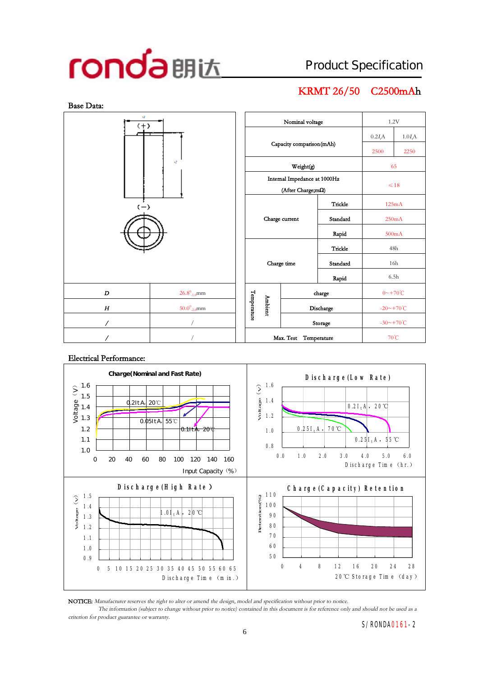## Product Specification

**KRMT 26/50 C2500mAh** 



#### **Electrical Performance:**



**NOTICE:** *Manufacturer reserves the right to alter or amend the design, model and specification without prior to notice.*

The information (subject to change without prior to notice) contained in this document is for reference only and should not be used as a *criterion for product guarantee or warranty.*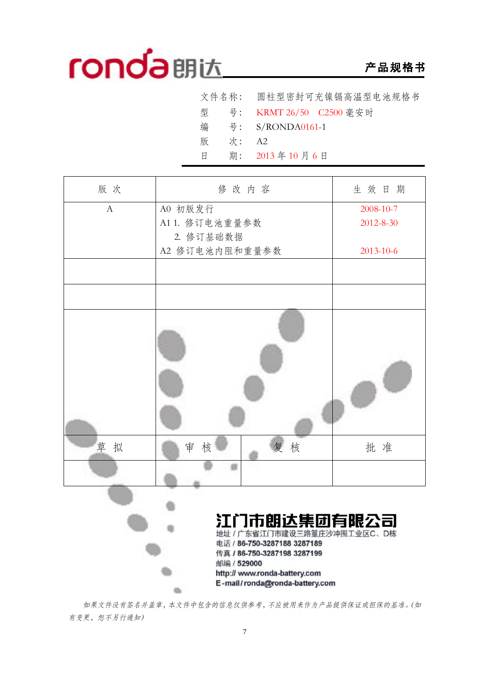## **产品规格书**

|   |         | 文件名称: 圆柱型密封可充镍镉高温型电池规格书   |
|---|---------|---------------------------|
|   |         | 型 号: KRMT 26/50 C2500 毫安时 |
|   |         | 编 号: S/RONDA0161-1        |
|   | 版 次: A2 |                           |
| 日 |         | 期: 2013年10月6日             |

| 版次           | 修改内容           | 生效日期            |
|--------------|----------------|-----------------|
| $\mathbf{A}$ | A0 初版发行        | 2008-10-7       |
|              | A11. 修订电池重量参数  | $2012 - 8 - 30$ |
|              | 2. 修订基础数据      |                 |
|              | A2 修订电池内阻和重量参数 | 2013-10-6       |
|              |                |                 |
|              |                |                 |
|              |                |                 |
| 草拟           | 复核<br>审<br>核   | 批准              |
|              |                |                 |



*如果文件没有签名并盖章,本文件中包含的信息仅供参考,不应被用来作为产品提供保证或担保的基准。(如 有变更,恕不另行通知)*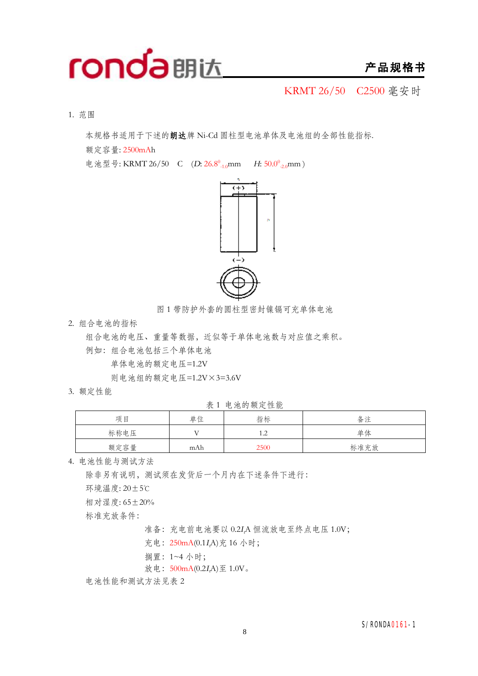

### **产品规格书**

KRMT 26/50 C2500 毫安时

1. 范围

本规格书适用于下述的**朗达**牌 Ni-Cd 圆柱型电池单体及电池组的全部性能指标.

额定容量: 2500mAh

电池型号: KRMT 26/50 C (D: 26.8<sup>0</sup><sub>-1.0</sub>mm *H*: 50.0<sup>0</sup><sub>-2.0</sub>mm)



图 1 带防护外套的圆柱型密封镍镉可充单体电池

2. 组合电池的指标

组合电池的电压、重量等数据,近似等于单体电池数与对应值之乘积。

例如:组合电池包括三个单体电池

单体电池的额定电压=1.2V

则电池组的额定电压=1.2V×3=3.6V

3. 额定性能

表 1 电池的额定性能

| 项目   | 单位  | 指标            | 备注   |
|------|-----|---------------|------|
| 标称电压 |     | $\sim$<br>1.Z | 单体   |
| 额定容量 | mAh | 2500          | 标准充放 |

4. 电池性能与测试方法

除非另有说明,测试须在发货后一个月内在下述条件下进行:

环境温度: 20±5℃

相对湿度: 65±20%

标准充放条件:

准备:充电前电池要以 0.2*<sup>I</sup>t*A 恒流放电至终点电压 1.0V;

充电:250mA(0.1*<sup>I</sup>t*A)充 16 小时;

搁置:1~4 小时;

放电:500mA(0.2*<sup>I</sup>t*A)至 1.0V。

电池性能和测试方法见表 2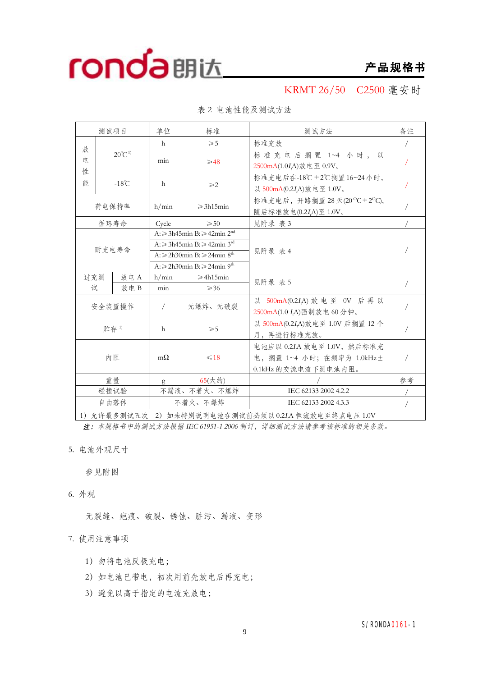**产品规格书**

KRMT 26/50 C2500 毫安时

|                                                        | 测试项目                     |                       | 单位                                                | 标准                                                                            | 测试方法                                                                | 备注 |
|--------------------------------------------------------|--------------------------|-----------------------|---------------------------------------------------|-------------------------------------------------------------------------------|---------------------------------------------------------------------|----|
|                                                        |                          |                       | $\mathsf{h}$                                      | $\geqslant$ 5                                                                 | 标准充放                                                                |    |
| 放<br>$20^{\circ}C^{1}$<br>申.                           |                          | min<br>$\geqslant$ 48 |                                                   | 标准充电后搁置 1~4 小时,以<br>2500mA(1.0IA)放电至 0.9V。                                    |                                                                     |    |
| 性<br>能                                                 |                          | $-18^{\circ}$ C       | $\mathsf{h}$                                      | $\geqslant$ 2                                                                 | 标准充电后在-18℃±2℃搁置16~24小时,<br>以 500mA(0.2I,A)放电至 1.0V。                 |    |
|                                                        |                          | 荷电保持率                 | h/min                                             | $\geqslant$ 3h15min                                                           | 标准充电后, 开路搁置 28 天(20 °C±2 °C),<br>随后标准放电(0.2I <sub>t</sub> A)至 1.0V。 |    |
|                                                        |                          | 循环寿命                  | Cycle                                             | $\geqslant 50$                                                                | 见附录 表 3                                                             |    |
|                                                        |                          |                       |                                                   | A: $\geq$ 3h45min B: $\geq$ 42min 2 <sup>nd</sup>                             |                                                                     |    |
|                                                        |                          | 耐充电寿命                 | A: ≥3h45min B: ≥42min 3 <sup>rd</sup>             |                                                                               |                                                                     |    |
|                                                        |                          |                       | A: ≥2h30min B: ≥24min 8 <sup>th</sup>             |                                                                               | 见附录 表 4                                                             |    |
|                                                        |                          |                       | A: $\geq$ 2h30min B: $\geq$ 24min 9 <sup>th</sup> |                                                                               |                                                                     |    |
|                                                        | 过充测<br>放电 A<br>试<br>放电 B |                       | h/min                                             | $\geqslant$ 4h15min<br>见附录 表 5                                                |                                                                     |    |
|                                                        |                          |                       | min                                               | $\geqslant$ 36                                                                |                                                                     |    |
|                                                        | 安全装置操作                   |                       | $\sqrt{2}$                                        | 无爆炸、无破裂                                                                       | 以 500mA(0.2IA) 放电至 0V 后再以<br>2500mA(1.0 I <sub>r</sub> A)强制放电 60分钟。 |    |
| 贮存1)                                                   |                          | h                     | $\geqslant 5$                                     | 以 500mA(0.2IA)放电至 1.0V 后搁置 12 个<br>月,再进行标准充放。                                 |                                                                     |    |
| 内阻                                                     |                          | $m\Omega$             | $\leq 18$                                         | 电池应以 0.2IA 放电至 1.0V, 然后标准充<br>电,搁置 1~4 小时;在频率为 1.0kHz±<br>0.1kHz 的交流电流下测电池内阻。 |                                                                     |    |
| 重量                                                     |                          | g                     | 65(大约)                                            |                                                                               | 参考                                                                  |    |
|                                                        |                          | 碰撞试验                  |                                                   | 不漏液、不着火、不爆炸                                                                   | IEC 62133 2002 4.2.2                                                |    |
|                                                        |                          | 自由落体                  |                                                   | 不着火、不爆炸                                                                       | IEC 62133 2002 4.3.3                                                |    |
| 2) 如未特别说明电池在测试前必须以 0.2IA 恒流放电至终点电压 1.0V<br>1) 允许最多测试五次 |                          |                       |                                                   |                                                                               |                                                                     |    |

表 2 电池性能及测试方法

*注:本规格书中的测试方法根据 IEC 61951-1 <sup>2006</sup> 制订,详细测试方法请参考该标准的相关条款。*

5. 电池外观尺寸

参见附图

6. 外观

无裂缝、疤痕、破裂、锈蚀、脏污、漏液、变形

7. 使用注意事项

- 1)勿将电池反极充电;
- 2) 如电池已带电, 初次用前先放电后再充电;
- 3)避免以高于指定的电流充放电;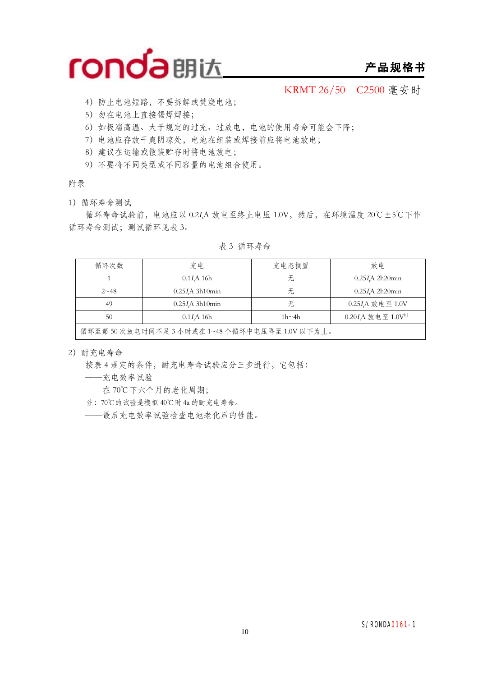

### **产品规格书**

KRMT 26/50 C2500 毫安时

- 4)防止电池短路,不要拆解或焚烧电池;
- 5)勿在电池上直接锡焊焊接;
- 6)如极端高温、大于规定的过充、过放电,电池的使用寿命可能会下降;
- 7)电池应存放干爽阴凉处,电池在组装或焊接前应将电池放电;
- 8)建议在运输或散装贮存时将电池放电;
- 9)不要将不同类型或不同容量的电池组合使用。

#### 附录

1)循环寿命测试

循环寿命试验前,电池应以 0.2*<sup>I</sup>t*A 放电至终止电压 1.0V,然后,在环境温度 20℃±5℃下作 循环寿命测试;测试循环见表 3。

#### 表 3 循环寿命

| 循环次数                                                              | 充电                      | 充电态搁置 | 放电                |  |  |  |
|-------------------------------------------------------------------|-------------------------|-------|-------------------|--|--|--|
|                                                                   | $0.1I\text{A}$ 16h      | 无     | $0.25I$ A 2h20min |  |  |  |
| $2 \sim 48$                                                       | $0.25I\text{A}$ 3h10min | 无     | $0.25I$ A 2h20min |  |  |  |
| 49                                                                | $0.25I\text{A}$ 3h10min | 无     | 0.25I,A 放电至 1.0V  |  |  |  |
| $0.20I$ A 放电至 $1.0Vb$<br>50<br>$0.1I\text{A}$ 16h<br>$1h \sim 4h$ |                         |       |                   |  |  |  |
| 循环至第50次放电时间不足3小时或在1~48个循环中电压降至1.0V以下为止。                           |                         |       |                   |  |  |  |

2)耐充电寿命

按表 4 规定的条件,耐充电寿命试验应分三步进行,它包括:

——充电效率试验

——在 70℃下六个月的老化周期;

注:70℃的试验是模拟 40℃时 4a 的耐充电寿命。

——最后充电效率试验检查电池老化后的性能。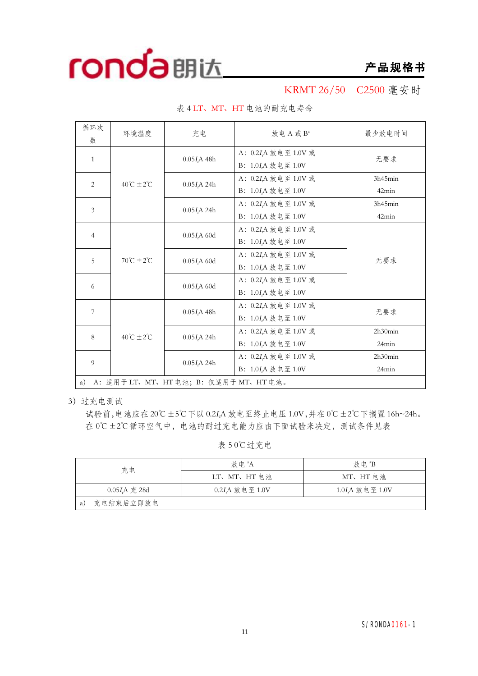

### **产品规格书**

KRMT 26/50 C2500 毫安时

| 循环次<br>数                                    | 环境温度                         | 充电                       | 放电 A 或 Ba                                                                          | 最少放电时间           |  |  |  |
|---------------------------------------------|------------------------------|--------------------------|------------------------------------------------------------------------------------|------------------|--|--|--|
| $\mathbf{1}$                                |                              | $0.05I_{t}A 48h$         | A: 0.2 <i>I<sub>t</sub>A</i> 放电至 1.0V 或<br>B: 1.0I,A 放电至 1.0V                      | 无要求              |  |  |  |
| $\overline{2}$                              | $40^{\circ}C \pm 2^{\circ}C$ | $0.05I_{t}A 24h$         | A: 0.2I <sub>t</sub> A 放电至 1.0V 或<br>B: 1.0I <sub>r</sub> A 放电至 1.0V               | 3h45min<br>42min |  |  |  |
| 3                                           |                              | 0.05I <sub>r</sub> A 24h | A: 0.2 <i>I<sub>t</sub>A</i> 放电至 1.0V 或<br>B: $1.0I_tA$ 放电至 $1.0V$                 | 3h45min<br>42min |  |  |  |
| $\overline{4}$                              | $70^{\circ}C \pm 2^{\circ}C$ | $0.05IrA$ 60d            | A: 0.2 <i>I</i> <sub>r</sub> A 放电至 1.0V 或<br>B: 1.0I,A 放电至 1.0V                    |                  |  |  |  |
| 5                                           |                              | $0.05IrA$ 60d            | A: 0.2I,A 放电至 1.0V 或<br>B: 1.0I <sub>r</sub> A 放电至 1.0V                            | 无要求              |  |  |  |
| 6                                           |                              | $0.05IrA$ 60d            | A: 0.2I,A 放电至 1.0V 或<br>B: 1.0I,A 放电至 1.0V                                         |                  |  |  |  |
| 7                                           |                              | $0.05I_{t}A$ 48h         | A: 0.2 <i>I</i> <sub>r</sub> A 放电至 1.0V 或<br>B: 1.0 <i>I<sub>r</sub>A</i> 放电至 1.0V | 无要求              |  |  |  |
| 8                                           | $40^{\circ}C \pm 2^{\circ}C$ | $0.05I\text{A} 24h$      | A: 0.2I <sub>r</sub> A 放电至 1.0V 或<br>B: 1.0 <i>I<sub>r</sub>A</i> 放电至 1.0V         | 2h30min<br>24min |  |  |  |
| 9                                           |                              | $0.05I\AA$ 24h           | A: 0.2 <i>I</i> <sub>r</sub> A 放电至 1.0V 或<br>B: 1.0I <sub>A</sub> 放电至 1.0V         | 2h30min<br>24min |  |  |  |
| A: 适用于 LT、MT、HT 电池; B: 仅适用于 MT、HT 电池。<br>a) |                              |                          |                                                                                    |                  |  |  |  |

表 4 LT、MT、HT 电池的耐充电寿命

3)过充电测试

试验前,电池应在 20℃±5℃下以 0.2*<sup>I</sup>t*A 放电至终止电压 1.0V,并在 0℃±2℃下搁置 16h~24h。 在 0℃±2℃循环空气中,电池的耐过充电能力应由下面试验来决定,测试条件见表

表 5 0℃过充电

| 充电                | 放 申 <sup>a</sup> A | 放电 <sup>a</sup> B          |
|-------------------|--------------------|----------------------------|
|                   | LT、MT、HT 电池        | MT、HT 电池                   |
| $0.05I$ , A 充 28d | 0.2IA 放电至 1.0V     | 1.0I <sub>A</sub> 放电至 1.0V |
| 充电结束后立即放电<br>a)   |                    |                            |